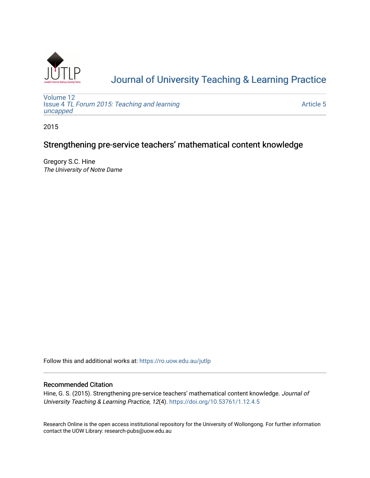

# [Journal of University Teaching & Learning Practice](https://ro.uow.edu.au/jutlp)

[Volume 12](https://ro.uow.edu.au/jutlp/vol12) Issue 4 [TL Forum 2015: Teaching and learning](https://ro.uow.edu.au/jutlp/vol12/iss4)  [uncapped](https://ro.uow.edu.au/jutlp/vol12/iss4)

[Article 5](https://ro.uow.edu.au/jutlp/vol12/iss4/5) 

2015

# Strengthening pre-service teachers' mathematical content knowledge

Gregory S.C. Hine The University of Notre Dame

Follow this and additional works at: [https://ro.uow.edu.au/jutlp](https://ro.uow.edu.au/jutlp?utm_source=ro.uow.edu.au%2Fjutlp%2Fvol12%2Fiss4%2F5&utm_medium=PDF&utm_campaign=PDFCoverPages) 

## Recommended Citation

Hine, G. S. (2015). Strengthening pre-service teachers' mathematical content knowledge. Journal of University Teaching & Learning Practice, 12(4).<https://doi.org/10.53761/1.12.4.5>

Research Online is the open access institutional repository for the University of Wollongong. For further information contact the UOW Library: research-pubs@uow.edu.au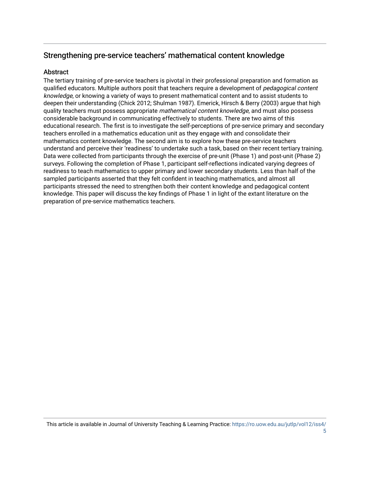# Strengthening pre-service teachers' mathematical content knowledge

# **Abstract**

The tertiary training of pre-service teachers is pivotal in their professional preparation and formation as qualified educators. Multiple authors posit that teachers require a development of *pedagogical content* knowledge, or knowing a variety of ways to present mathematical content and to assist students to deepen their understanding (Chick 2012; Shulman 1987). Emerick, Hirsch & Berry (2003) argue that high quality teachers must possess appropriate mathematical content knowledge, and must also possess considerable background in communicating effectively to students. There are two aims of this educational research. The first is to investigate the self-perceptions of pre-service primary and secondary teachers enrolled in a mathematics education unit as they engage with and consolidate their mathematics content knowledge. The second aim is to explore how these pre-service teachers understand and perceive their 'readiness' to undertake such a task, based on their recent tertiary training. Data were collected from participants through the exercise of pre-unit (Phase 1) and post-unit (Phase 2) surveys. Following the completion of Phase 1, participant self-reflections indicated varying degrees of readiness to teach mathematics to upper primary and lower secondary students. Less than half of the sampled participants asserted that they felt confident in teaching mathematics, and almost all participants stressed the need to strengthen both their content knowledge and pedagogical content knowledge. This paper will discuss the key findings of Phase 1 in light of the extant literature on the preparation of pre-service mathematics teachers.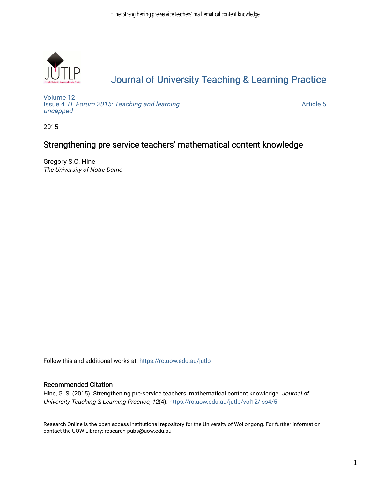

# [Journal of University Teaching & Learning Practice](https://ro.uow.edu.au/jutlp)

[Volume 12](https://ro.uow.edu.au/jutlp/vol12) Issue 4 [TL Forum 2015: Teaching and learning](https://ro.uow.edu.au/jutlp/vol12/iss4)  [uncapped](https://ro.uow.edu.au/jutlp/vol12/iss4)

[Article 5](https://ro.uow.edu.au/jutlp/vol12/iss4/5) 

2015

# Strengthening pre-service teachers' mathematical content knowledge

Gregory S.C. Hine The University of Notre Dame

Follow this and additional works at: [https://ro.uow.edu.au/jutlp](https://ro.uow.edu.au/jutlp?utm_source=ro.uow.edu.au%2Fjutlp%2Fvol12%2Fiss4%2F5&utm_medium=PDF&utm_campaign=PDFCoverPages) 

# Recommended Citation

Hine, G. S. (2015). Strengthening pre-service teachers' mathematical content knowledge. Journal of University Teaching & Learning Practice, 12(4). [https://ro.uow.edu.au/jutlp/vol12/iss4/5](https://ro.uow.edu.au/jutlp/vol12/iss4/5?utm_source=ro.uow.edu.au%2Fjutlp%2Fvol12%2Fiss4%2F5&utm_medium=PDF&utm_campaign=PDFCoverPages) 

Research Online is the open access institutional repository for the University of Wollongong. For further information contact the UOW Library: research-pubs@uow.edu.au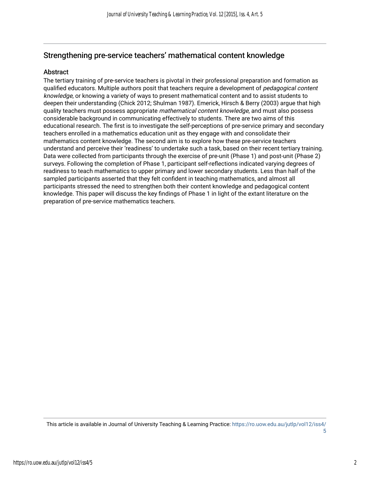# Strengthening pre-service teachers' mathematical content knowledge

# Abstract

The tertiary training of pre-service teachers is pivotal in their professional preparation and formation as qualified educators. Multiple authors posit that teachers require a development of *pedagogical content* knowledge, or knowing a variety of ways to present mathematical content and to assist students to deepen their understanding (Chick 2012; Shulman 1987). Emerick, Hirsch & Berry (2003) argue that high quality teachers must possess appropriate mathematical content knowledge, and must also possess considerable background in communicating effectively to students. There are two aims of this educational research. The first is to investigate the self-perceptions of pre-service primary and secondary teachers enrolled in a mathematics education unit as they engage with and consolidate their mathematics content knowledge. The second aim is to explore how these pre-service teachers understand and perceive their 'readiness' to undertake such a task, based on their recent tertiary training. Data were collected from participants through the exercise of pre-unit (Phase 1) and post-unit (Phase 2) surveys. Following the completion of Phase 1, participant self-reflections indicated varying degrees of readiness to teach mathematics to upper primary and lower secondary students. Less than half of the sampled participants asserted that they felt confident in teaching mathematics, and almost all participants stressed the need to strengthen both their content knowledge and pedagogical content knowledge. This paper will discuss the key findings of Phase 1 in light of the extant literature on the preparation of pre-service mathematics teachers.

This article is available in Journal of University Teaching & Learning Practice: [https://ro.uow.edu.au/jutlp/vol12/iss4/](https://ro.uow.edu.au/jutlp/vol12/iss4/5) [5](https://ro.uow.edu.au/jutlp/vol12/iss4/5)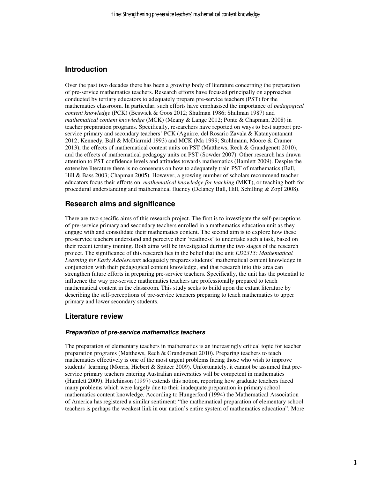## **Introduction**

Over the past two decades there has been a growing body of literature concerning the preparation of pre-service mathematics teachers. Research efforts have focused principally on approaches conducted by tertiary educators to adequately prepare pre-service teachers (PST) for the mathematics classroom. In particular, such efforts have emphasised the importance of *pedagogical content knowledge* (PCK) (Beswick & Goos 2012; Shulman 1986; Shulman 1987) and *mathematical content knowledge* (MCK) (Meany & Lange 2012; Ponte & Chapman, 2008) in teacher preparation programs. Specifically, researchers have reported on ways to best support preservice primary and secondary teachers' PCK (Aguirre, del Rosario Zavala & Katanyoutanant 2012; Kennedy, Ball & McDiarmid 1993) and MCK (Ma 1999; Stohlmann, Moore & Cramer 2013), the effects of mathematical content units on PST (Matthews, Rech & Grandgenett 2010), and the effects of mathematical pedagogy units on PST (Sowder 2007). Other research has drawn attention to PST confidence levels and attitudes towards mathematics (Hamlett 2009). Despite the extensive literature there is no consensus on how to adequately train PST of mathematics (Ball, Hill & Bass 2003; Chapman 2005). However, a growing number of scholars recommend teacher educators focus their efforts on *mathematical knowledge for teaching* (MKT), or teaching both for procedural understanding and mathematical fluency (Delaney Ball, Hill, Schilling & Zopf 2008).

## **Research aims and significance**

There are two specific aims of this research project. The first is to investigate the self-perceptions of pre-service primary and secondary teachers enrolled in a mathematics education unit as they engage with and consolidate their mathematics content. The second aim is to explore how these pre-service teachers understand and perceive their 'readiness' to undertake such a task, based on their recent tertiary training. Both aims will be investigated during the two stages of the research project. The significance of this research lies in the belief that the unit *ED2315: Mathematical Learning for Early Adolescents* adequately prepares students' mathematical content knowledge in conjunction with their pedagogical content knowledge, and that research into this area can strengthen future efforts in preparing pre-service teachers. Specifically, the unit has the potential to influence the way pre-service mathematics teachers are professionally prepared to teach mathematical content in the classroom. This study seeks to build upon the extant literature by describing the self-perceptions of pre-service teachers preparing to teach mathematics to upper primary and lower secondary students.

### **Literature review**

#### **Preparation of pre-service mathematics teachers**

The preparation of elementary teachers in mathematics is an increasingly critical topic for teacher preparation programs (Matthews, Rech & Grandgenett 2010). Preparing teachers to teach mathematics effectively is one of the most urgent problems facing those who wish to improve students' learning (Morris, Hiebert & Spitzer 2009). Unfortunately, it cannot be assumed that preservice primary teachers entering Australian universities will be competent in mathematics (Hamlett 2009). Hutchinson (1997) extends this notion, reporting how graduate teachers faced many problems which were largely due to their inadequate preparation in primary school mathematics content knowledge. According to Hungerford (1994) the Mathematical Association of America has registered a similar sentiment: "the mathematical preparation of elementary school teachers is perhaps the weakest link in our nation's entire system of mathematics education". More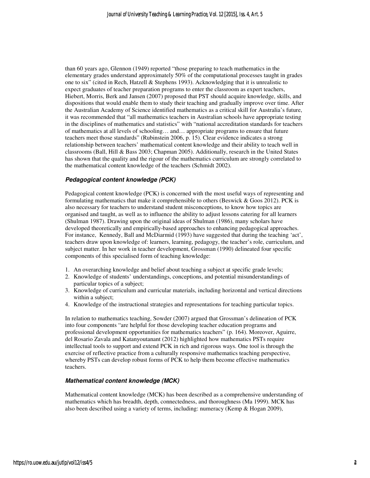than 60 years ago, Glennon (1949) reported "those preparing to teach mathematics in the elementary grades understand approximately 50% of the computational processes taught in grades one to six" (cited in Rech, Hatzell & Stephens 1993). Acknowledging that it is unrealistic to expect graduates of teacher preparation programs to enter the classroom as expert teachers, Hiebert, Morris, Berk and Jansen (2007) proposed that PST should acquire knowledge, skills, and dispositions that would enable them to study their teaching and gradually improve over time. After the Australian Academy of Science identified mathematics as a critical skill for Australia's future, it was recommended that "all mathematics teachers in Australian schools have appropriate testing in the disciplines of mathematics and statistics" with "national accreditation standards for teachers of mathematics at all levels of schooling… and… appropriate programs to ensure that future teachers meet those standards" (Rubinstein 2006, p. 15). Clear evidence indicates a strong relationship between teachers' mathematical content knowledge and their ability to teach well in classrooms (Ball, Hill & Bass 2003; Chapman 2005). Additionally, research in the United States has shown that the quality and the rigour of the mathematics curriculum are strongly correlated to the mathematical content knowledge of the teachers (Schmidt 2002).

#### **Pedagogical content knowledge (PCK)**

Pedagogical content knowledge (PCK) is concerned with the most useful ways of representing and formulating mathematics that make it comprehensible to others (Beswick & Goos 2012). PCK is also necessary for teachers to understand student misconceptions, to know how topics are organised and taught, as well as to influence the ability to adjust lessons catering for all learners (Shulman 1987). Drawing upon the original ideas of Shulman (1986), many scholars have developed theoretically and empirically-based approaches to enhancing pedagogical approaches. For instance, Kennedy, Ball and McDiarmid (1993) have suggested that during the teaching 'act', teachers draw upon knowledge of: learners, learning, pedagogy, the teacher's role, curriculum, and subject matter. In her work in teacher development, Grossman (1990) delineated four specific components of this specialised form of teaching knowledge:

- 1. An overarching knowledge and belief about teaching a subject at specific grade levels;
- 2. Knowledge of students' understandings, conceptions, and potential misunderstandings of particular topics of a subject;
- 3. Knowledge of curriculum and curricular materials, including horizontal and vertical directions within a subject;
- 4. Knowledge of the instructional strategies and representations for teaching particular topics.

In relation to mathematics teaching, Sowder (2007) argued that Grossman's delineation of PCK into four components "are helpful for those developing teacher education programs and professional development opportunities for mathematics teachers" (p. 164). Moreover, Aguirre, del Rosario Zavala and Katanyoutanant (2012) highlighted how mathematics PSTs require intellectual tools to support and extend PCK in rich and rigorous ways. One tool is through the exercise of reflective practice from a culturally responsive mathematics teaching perspective, whereby PSTs can develop robust forms of PCK to help them become effective mathematics teachers.

#### **Mathematical content knowledge (MCK)**

Mathematical content knowledge (MCK) has been described as a comprehensive understanding of mathematics which has breadth, depth, connectedness, and thoroughness (Ma 1999). MCK has also been described using a variety of terms, including: numeracy (Kemp & Hogan 2009),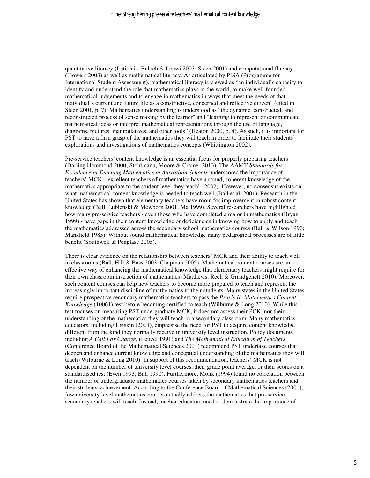quantitative literacy (Latiolais, Baloch & Loewi 2003; Steen 2001) and computational fluency (Flowers 2003) as well as mathematical literacy. As articulated by PISA (Programme for International Student Assessment), mathematical literacy is viewed as "an individual's capacity to identify and understand the role that mathematics plays in the world, to make well-founded mathematical judgements and to engage in mathematics in ways that meet the needs of that individual's current and future life as a constructive, concerned and reflective citizen" (cited in Steen 2001, p. 7). Mathematics understanding is understood as "the dynamic, constructed, and reconstructed process of sense making by the learner" and "learning to represent or communicate mathematical ideas or interpret mathematical representations through the use of language, diagrams, pictures, manipulatives, and other tools" (Heaton 2000, p. 4). As such, it is important for PST to have a firm grasp of the mathematics they will teach in order to facilitate their students' explorations and investigations of mathematics concepts (Whittington 2002).

Pre-service teachers' content knowledge is an essential focus for properly preparing teachers (Darling Hammond 2000; Stohlmann, Moore & Cramer 2013). The AAMT *Standards for Excellence in Teaching Mathematics in Australian Schools* underscored the importance of teachers' MCK: "excellent teachers of mathematics have a sound, coherent knowledge of the mathematics appropriate to the student level they teach" (2002). However, no consensus exists on what mathematical content knowledge is needed to teach well (Ball et al. 2001). Research in the United States has shown that elementary teachers have room for improvement in robust content knowledge (Ball, Lubienski & Mewborn 2001; Ma 1999). Several researchers have highlighted how many pre-service teachers - even those who have completed a major in mathematics (Bryan 1999) - have gaps in their content knowledge or deficiencies in knowing how to apply and teach the mathematics addressed across the secondary school mathematics courses (Ball & Wilson 1990; Mansfield 1985). Without sound mathematical knowledge many pedagogical processes are of little benefit (Southwell & Penglase 2005).

There is clear evidence on the relationship between teachers' MCK and their ability to teach well in classrooms (Ball, Hill & Bass 2003; Chapman 2005). Mathematical content courses are an effective way of enhancing the mathematical knowledge that elementary teachers might require for their own classroom instruction of mathematics (Matthews, Rech & Grandgenett 2010). Moreover, such content courses can help new teachers to become more prepared to teach and represent the increasingly important discipline of mathematics to their students. Many states in the United States require prospective secondary mathematics teachers to pass the *Praxis II: Mathematics Content Knowledge* (10061) test before becoming certified to teach (Wilburne & Long 2010). While this test focuses on measuring PST undergraduate MCK, it does not assess their PCK, nor their understanding of the mathematics they will teach in a secondary classroom. Many mathematics educators, including Usiskin (2001), emphasise the need for PST to acquire content knowledge different from the kind they normally receive in university level instruction. Policy documents including *A Call For Change*, (Leitzel 1991) and *The Mathematical Education of Teachers* (Conference Board of the Mathematical Sciences 2001) recommend PST undertake courses that deepen and enhance current knowledge and conceptual understanding of the mathematics they will teach (Wilburne & Long 2010). In support of this recommendation, teachers' MCK is not dependent on the number of university level courses, their grade point average, or their scores on a standardised test (Even 1993; Ball 1990). Furthermore, Monk (1994) found no correlation between the number of undergraduate mathematics courses taken by secondary mathematics teachers and their students' achievement. According to the Conference Board of Mathematical Sciences (2001), few university level mathematics courses actually address the mathematics that pre-service secondary teachers will teach. Instead, teacher educators need to demonstrate the importance of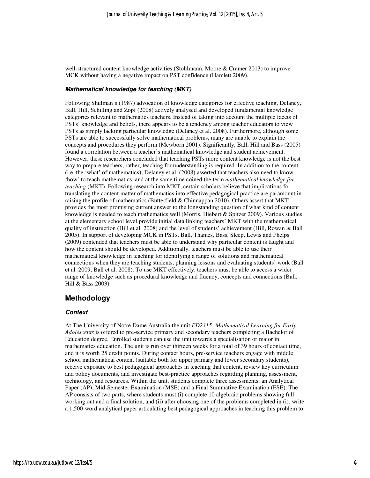well-structured content knowledge activities (Stohlmann, Moore & Cramer 2013) to improve MCK without having a negative impact on PST confidence (Hamlett 2009).

#### **Mathematical knowledge for teaching (MKT)**

Following Shulman's (1987) advocation of knowledge categories for effective teaching, Delaney, Ball, Hill, Schilling and Zopf (2008) actively analysed and developed fundamental knowledge categories relevant to mathematics teachers. Instead of taking into account the multiple facets of PSTs' knowledge and beliefs, there appears to be a tendency among teacher educators to view PSTs as simply lacking particular knowledge (Delaney et al. 2008). Furthermore, although some PSTs are able to successfully solve mathematical problems, many are unable to explain the concepts and procedures they perform (Mewborn 2001). Significantly, Ball, Hill and Bass (2005) found a correlation between a teacher's mathematical knowledge and student achievement. However, these researchers concluded that teaching PSTs more content knowledge is not the best way to prepare teachers; rather, teaching for understanding is required. In addition to the content (i.e. the 'what' of mathematics), Delaney et al. (2008) asserted that teachers also need to know 'how' to teach mathematics, and at the same time coined the term *mathematical knowledge for teaching* (MKT). Following research into MKT, certain scholars believe that implications for translating the content matter of mathematics into effective pedagogical practice are paramount in raising the profile of mathematics (Butterfield & Chinnappan 2010). Others assert that MKT provides the most promising current answer to the longstanding question of what kind of content knowledge is needed to teach mathematics well (Morris, Hiebert & Spitzer 2009). Various studies at the elementary school level provide initial data linking teachers' MKT with the mathematical quality of instruction (Hill et al. 2008) and the level of students' achievement (Hill, Rowan & Ball 2005). In support of developing MCK in PSTs, Ball, Thames, Bass, Sleep, Lewis and Phelps (2009) contended that teachers must be able to understand why particular content is taught and how the content should be developed. Additionally, teachers must be able to use their mathematical knowledge in teaching for identifying a range of solutions and mathematical connections when they are teaching students, planning lessons and evaluating students' work (Ball et al. 2009; Ball et al. 2008). To use MKT effectively, teachers must be able to access a wider range of knowledge such as procedural knowledge and fluency, concepts and connections (Ball, Hill & Bass 2003).

## **Methodology**

#### **Context**

At The University of Notre Dame Australia the unit *ED2315: Mathematical Learning for Early Adolescents* is offered to pre-service primary and secondary teachers completing a Bachelor of Education degree. Enrolled students can use the unit towards a specialisation or major in mathematics education. The unit is run over thirteen weeks for a total of 39 hours of contact time, and it is worth 25 credit points. During contact hours, pre-service teachers engage with middle school mathematical content (suitable both for upper primary and lower secondary students), receive exposure to best pedagogical approaches in teaching that content, review key curriculum and policy documents, and investigate best-practice approaches regarding planning, assessment, technology, and resources. Within the unit, students complete three assessments: an Analytical Paper (AP), Mid-Semester Examination (MSE) and a Final Summative Examination (FSE). The AP consists of two parts, where students must (i) complete 10 algebraic problems showing full working out and a final solution, and (ii) after choosing one of the problems completed in (i), write a 1,500-word analytical paper articulating best pedagogical approaches in teaching this problem to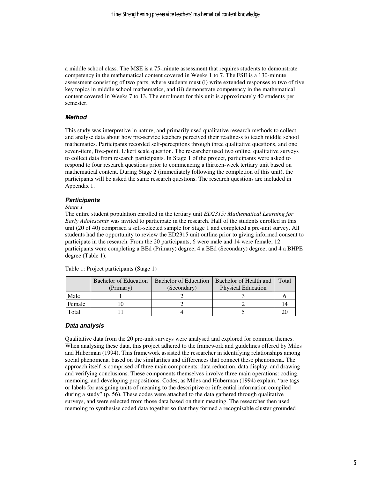a middle school class. The MSE is a 75-minute assessment that requires students to demonstrate competency in the mathematical content covered in Weeks 1 to 7. The FSE is a 130-minute assessment consisting of two parts, where students must (i) write extended responses to two of five key topics in middle school mathematics, and (ii) demonstrate competency in the mathematical content covered in Weeks 7 to 13. The enrolment for this unit is approximately 40 students per semester.

#### **Method**

This study was interpretive in nature, and primarily used qualitative research methods to collect and analyse data about how pre-service teachers perceived their readiness to teach middle school mathematics. Participants recorded self-perceptions through three qualitative questions, and one seven-item, five-point, Likert scale question. The researcher used two online, qualitative surveys to collect data from research participants. In Stage 1 of the project, participants were asked to respond to four research questions prior to commencing a thirteen-week tertiary unit based on mathematical content. During Stage 2 (immediately following the completion of this unit), the participants will be asked the same research questions. The research questions are included in Appendix 1.

#### **Participants**

#### *Stage 1*

The entire student population enrolled in the tertiary unit *ED2315: Mathematical Learning for Early Adolescents* was invited to participate in the research. Half of the students enrolled in this unit (20 of 40) comprised a self-selected sample for Stage 1 and completed a pre-unit survey. All students had the opportunity to review the ED2315 unit outline prior to giving informed consent to participate in the research. From the 20 participants, 6 were male and 14 were female; 12 participants were completing a BEd (Primary) degree, 4 a BEd (Secondary) degree, and 4 a BHPE degree (Table 1).

|        | <b>Bachelor of Education</b><br>(Primary) | Bachelor of Education<br>(Secondary) | Bachelor of Health and<br><b>Physical Education</b> | Total |
|--------|-------------------------------------------|--------------------------------------|-----------------------------------------------------|-------|
| Male   |                                           |                                      |                                                     |       |
| Female |                                           |                                      |                                                     |       |
| Total  |                                           |                                      |                                                     |       |

Table 1: Project participants (Stage 1)

#### **Data analysis**

Qualitative data from the 20 pre-unit surveys were analysed and explored for common themes. When analysing these data, this project adhered to the framework and guidelines offered by Miles and Huberman (1994). This framework assisted the researcher in identifying relationships among social phenomena, based on the similarities and differences that connect these phenomena. The approach itself is comprised of three main components: data reduction, data display, and drawing and verifying conclusions. These components themselves involve three main operations: coding, memoing, and developing propositions. Codes, as Miles and Huberman (1994) explain, "are tags or labels for assigning units of meaning to the descriptive or inferential information compiled during a study" (p. 56). These codes were attached to the data gathered through qualitative surveys, and were selected from those data based on their meaning. The researcher then used memoing to synthesise coded data together so that they formed a recognisable cluster grounded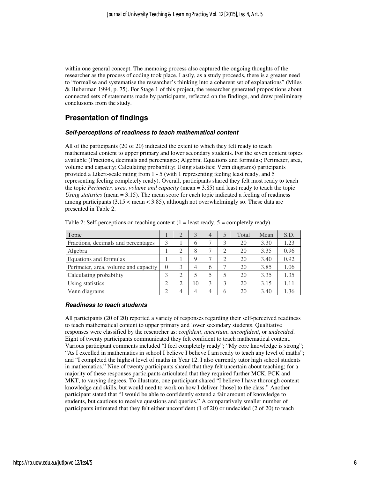within one general concept. The memoing process also captured the ongoing thoughts of the researcher as the process of coding took place. Lastly, as a study proceeds, there is a greater need to "formalise and systematise the researcher's thinking into a coherent set of explanations" (Miles & Huberman 1994, p. 75). For Stage 1 of this project, the researcher generated propositions about connected sets of statements made by participants, reflected on the findings, and drew preliminary conclusions from the study.

# **Presentation of findings**

#### **Self-perceptions of readiness to teach mathematical content**

All of the participants (20 of 20) indicated the extent to which they felt ready to teach mathematical content to upper primary and lower secondary students. For the seven content topics available (Fractions, decimals and percentages; Algebra; Equations and formulas; Perimeter, area, volume and capacity; Calculating probability; Using statistics; Venn diagrams) participants provided a Likert-scale rating from 1 - 5 (with 1 representing feeling least ready, and 5 representing feeling completely ready). Overall, participants shared they felt most ready to teach the topic *Perimeter, area, volume and capacity* (mean = 3.85) and least ready to teach the topic *Using statistics* (mean = 3.15). The mean score for each topic indicated a feeling of readiness among participants  $(3.15 <$  mean  $<$  3.85), although not overwhelmingly so. These data are presented in Table 2.

| Topic                                |  | 3  | $\overline{4}$ |   | Total | Mean | S.D. |
|--------------------------------------|--|----|----------------|---|-------|------|------|
| Fractions, decimals and percentages  |  | 6  |                | 3 | 20    | 3.30 | 1.23 |
| Algebra                              |  | 8  |                | ◠ | 20    | 3.35 | 0.96 |
| Equations and formulas               |  | Q  |                | ⌒ | 20    | 3.40 | 0.92 |
| Perimeter, area, volume and capacity |  | 4  | 6              |   | 20    | 3.85 | 1.06 |
| Calculating probability              |  |    | 5              |   | 20    | 3.35 | 1.35 |
| Using statistics                     |  | 10 | 3              | 3 | 20    | 3.15 | 1.11 |
| Venn diagrams                        |  | 4  | 4              | 6 | 20    | 3.40 | 1.36 |

Table 2: Self-perceptions on teaching content  $(1 =$  least ready,  $5 =$  completely ready)

#### **Readiness to teach students**

All participants (20 of 20) reported a variety of responses regarding their self-perceived readiness to teach mathematical content to upper primary and lower secondary students. Qualitative responses were classified by the researcher as: *confident*, *uncertain*, *unconfident*, or *undecided*. Eight of twenty participants communicated they felt confident to teach mathematical content. Various participant comments included "I feel completely ready"; "My core knowledge is strong"; "As I excelled in mathematics in school I believe I believe I am ready to teach any level of maths"; and "I completed the highest level of maths in Year 12. I also currently tutor high school students in mathematics." Nine of twenty participants shared that they felt uncertain about teaching; for a majority of these responses participants articulated that they required further MCK, PCK and MKT, to varying degrees. To illustrate, one participant shared "I believe I have thorough content knowledge and skills, but would need to work on how I deliver [those] to the class." Another participant stated that "I would be able to confidently extend a fair amount of knowledge to students, but cautious to receive questions and queries." A comparatively smaller number of participants intimated that they felt either unconfident (1 of 20) or undecided (2 of 20) to teach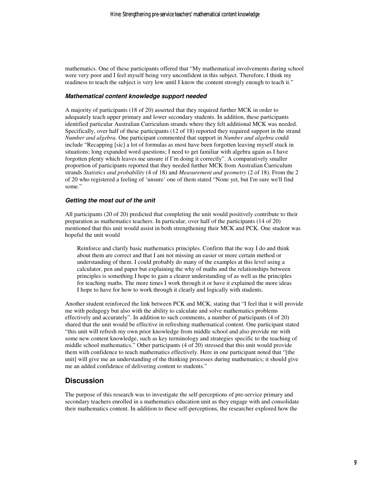mathematics. One of these participants offered that "My mathematical involvements during school were very poor and I feel myself being very unconfident in this subject. Therefore, I think my readiness to teach the subject is very low until I know the content strongly enough to teach it."

#### **Mathematical content knowledge support needed**

A majority of participants (18 of 20) asserted that they required further MCK in order to adequately teach upper primary and lower secondary students. In addition, these participants identified particular Australian Curriculum strands where they felt additional MCK was needed. Specifically, over half of these participants (12 of 18) reported they required support in the strand *Number and algebra.* One participant commented that support in *Number and algebra* could include "Recapping [sic] a lot of formulas as most have been forgotten leaving myself stuck in situations; long expanded word questions; I need to get familiar with algebra again as I have forgotten plenty which leaves me unsure if I'm doing it correctly". A comparatively smaller proportion of participants reported that they needed further MCK from Australian Curriculum strands *Statistics and probability* (4 of 18) and *Measurement and geometry* (2 of 18). From the 2 of 20 who registered a feeling of 'unsure' one of them stated "None yet, but I'm sure we'll find some."

#### **Getting the most out of the unit**

All participants (20 of 20) predicted that completing the unit would positively contribute to their preparation as mathematics teachers. In particular, over half of the participants (14 of 20) mentioned that this unit would assist in both strengthening their MCK and PCK. One student was hopeful the unit would

Reinforce and clarify basic mathematics principles. Confirm that the way I do and think about them are correct and that I am not missing an easier or more certain method or understanding of them. I could probably do many of the examples at this level using a calculator, pen and paper but explaining the why of maths and the relationships between principles is something I hope to gain a clearer understanding of as well as the principles for teaching maths. The more times I work through it or have it explained the more ideas I hope to have for how to work through it clearly and logically with students.

Another student reinforced the link between PCK and MCK, stating that "I feel that it will provide me with pedagogy but also with the ability to calculate and solve mathematics problems effectively and accurately". In addition to such comments, a number of participants (4 of 20) shared that the unit would be effective in refreshing mathematical content. One participant stated "this unit will refresh my own prior knowledge from middle school and also provide me with some new content knowledge, such as key terminology and strategies specific to the teaching of middle school mathematics." Other participants (4 of 20) stressed that this unit would provide them with confidence to teach mathematics effectively. Here in one participant noted that "[the unit] will give me an understanding of the thinking processes during mathematics; it should give me an added confidence of delivering content to students."

#### **Discussion**

The purpose of this research was to investigate the self-perceptions of pre-service primary and secondary teachers enrolled in a mathematics education unit as they engage with and consolidate their mathematics content. In addition to these self-perceptions, the researcher explored how the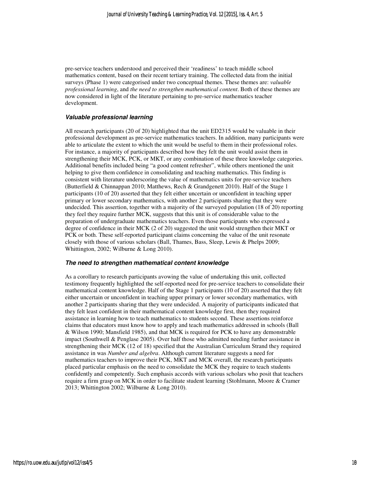pre-service teachers understood and perceived their 'readiness' to teach middle school mathematics content, based on their recent tertiary training. The collected data from the initial surveys (Phase 1) were categorised under two conceptual themes. These themes are: *valuable professional learning*, and *the need to strengthen mathematical content*. Both of these themes are now considered in light of the literature pertaining to pre-service mathematics teacher development.

#### **Valuable professional learning**

All research participants (20 of 20) highlighted that the unit ED2315 would be valuable in their professional development as pre-service mathematics teachers. In addition, many participants were able to articulate the extent to which the unit would be useful to them in their professional roles. For instance, a majority of participants described how they felt the unit would assist them in strengthening their MCK, PCK, or MKT, or any combination of these three knowledge categories. Additional benefits included being "a good content refresher", while others mentioned the unit helping to give them confidence in consolidating and teaching mathematics. This finding is consistent with literature underscoring the value of mathematics units for pre-service teachers (Butterfield & Chinnappan 2010; Matthews, Rech & Grandgenett 2010). Half of the Stage 1 participants (10 of 20) asserted that they felt either uncertain or unconfident in teaching upper primary or lower secondary mathematics, with another 2 participants sharing that they were undecided. This assertion, together with a majority of the surveyed population (18 of 20) reporting they feel they require further MCK, suggests that this unit is of considerable value to the preparation of undergraduate mathematics teachers. Even those participants who expressed a degree of confidence in their MCK (2 of 20) suggested the unit would strengthen their MKT or PCK or both. These self-reported participant claims concerning the value of the unit resonate closely with those of various scholars (Ball, Thames, Bass, Sleep, Lewis & Phelps 2009; Whittington, 2002; Wilburne & Long 2010).

#### **The need to strengthen mathematical content knowledge**

As a corollary to research participants avowing the value of undertaking this unit, collected testimony frequently highlighted the self-reported need for pre-service teachers to consolidate their mathematical content knowledge. Half of the Stage 1 participants (10 of 20) asserted that they felt either uncertain or unconfident in teaching upper primary or lower secondary mathematics, with another 2 participants sharing that they were undecided. A majority of participants indicated that they felt least confident in their mathematical content knowledge first, then they required assistance in learning how to teach mathematics to students second. These assertions reinforce claims that educators must know how to apply and teach mathematics addressed in schools (Ball & Wilson 1990; Mansfield 1985), and that MCK is required for PCK to have any demonstrable impact (Southwell & Penglase 2005). Over half those who admitted needing further assistance in strengthening their MCK (12 of 18) specified that the Australian Curriculum Strand they required assistance in was *Number and algebra*. Although current literature suggests a need for mathematics teachers to improve their PCK, MKT and MCK overall, the research participants placed particular emphasis on the need to consolidate the MCK they require to teach students confidently and competently. Such emphasis accords with various scholars who posit that teachers require a firm grasp on MCK in order to facilitate student learning (Stohlmann, Moore & Cramer 2013; Whittington 2002; Wilburne & Long 2010).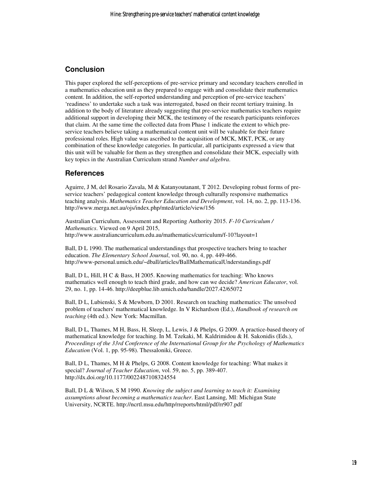# **Conclusion**

This paper explored the self-perceptions of pre-service primary and secondary teachers enrolled in a mathematics education unit as they prepared to engage with and consolidate their mathematics content. In addition, the self-reported understanding and perception of pre-service teachers' 'readiness' to undertake such a task was interrogated, based on their recent tertiary training. In addition to the body of literature already suggesting that pre-service mathematics teachers require additional support in developing their MCK, the testimony of the research participants reinforces that claim. At the same time the collected data from Phase 1 indicate the extent to which preservice teachers believe taking a mathematical content unit will be valuable for their future professional roles. High value was ascribed to the acquisition of MCK, MKT, PCK, or any combination of these knowledge categories. In particular, all participants expressed a view that this unit will be valuable for them as they strengthen and consolidate their MCK, especially with key topics in the Australian Curriculum strand *Number and algebra*.

### **References**

Aguirre, J M, del Rosario Zavala, M & Katanyoutanant, T 2012. Developing robust forms of preservice teachers' pedagogical content knowledge through culturally responsive mathematics teaching analysis. *Mathematics Teacher Education and Development*, vol. 14, no. 2, pp. 113-136. http://www.merga.net.au/ojs/index.php/mted/article/view/156

Australian Curriculum, Assessment and Reporting Authority 2015. *F-10 Curriculum / Mathematics*. Viewed on 9 April 2015, http://www.australiancurriculum.edu.au/mathematics/curriculum/f-10?layout=1

Ball, D L 1990. The mathematical understandings that prospective teachers bring to teacher education. *The Elementary School Journal*, vol. 90, no. 4, pp. 449-466. http://www-personal.umich.edu/~dball/articles/BallMathematicalUnderstandings.pdf

Ball, D L, Hill, H C & Bass, H 2005. Knowing mathematics for teaching: Who knows mathematics well enough to teach third grade, and how can we decide? *American Educator*, vol. 29, no. 1, pp. 14-46. http://deepblue.lib.umich.edu/handle/2027.42/65072

Ball, D L, Lubienski, S & Mewborn, D 2001. Research on teaching mathematics: The unsolved problem of teachers' mathematical knowledge. In V Richardson (Ed.), *Handbook of research on teaching* (4th ed.). New York: Macmillan.

Ball, D L, Thames, M H, Bass, H, Sleep, L, Lewis, J & Phelps, G 2009. A practice-based theory of mathematical knowledge for teaching. In M. Tzekaki, M. Kaldrimidou & H. Sakonidis (Eds.), *Proceedings of the 33rd Conference of the International Group for the Psychology of Mathematics Education* (Vol. 1, pp. 95-98). Thessaloniki, Greece.

Ball, D L, Thames, M H & Phelps, G 2008. Content knowledge for teaching: What makes it special? *Journal of Teacher Education*, vol. 59, no. 5, pp. 389-407. http://dx.doi.org/10.1177/0022487108324554

Ball, D L & Wilson, S M 1990. *Knowing the subject and learning to teach it: Examining assumptions about becoming a mathematics teacher*. East Lansing, MI: Michigan State University, NCRTE. http://ncrtl.msu.edu/http/rreports/html/pdf/rr907.pdf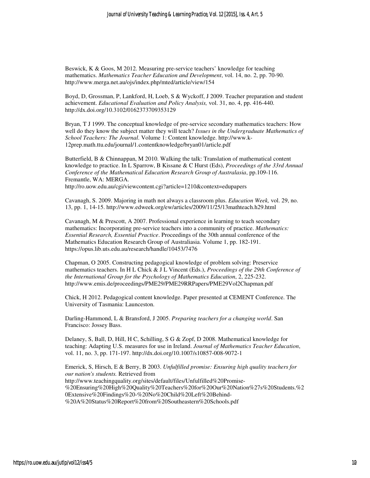Beswick, K & Goos, M 2012. Measuring pre-service teachers' knowledge for teaching mathematics. *Mathematics Teacher Education and Development*, vol. 14, no. 2, pp. 70-90. http://www.merga.net.au/ojs/index.php/mted/article/view/154

Boyd, D, Grossman, P, Lankford, H, Loeb, S & Wyckoff, J 2009. Teacher preparation and student achievement. *Educational Evaluation and Policy Analysis,* vol. 31, no. 4, pp. 416-440. http://dx.doi.org/10.3102/0162373709353129

Bryan, T J 1999. The conceptual knowledge of pre-service secondary mathematics teachers: How well do they know the subject matter they will teach? *Issues in the Undergraduate Mathematics of School Teachers: The Journal*. Volume 1: Content knowledge. http://www.k-12prep.math.ttu.edu/journal/1.contentknowledge/bryan01/article.pdf

Butterfield, B & Chinnappan, M 2010. Walking the talk: Translation of mathematical content knowledge to practice. In L Sparrow, B Kissane & C Hurst (Eds), *Proceedings of the 33rd Annual Conference of the Mathematical Education Research Group of Australasia*, pp.109-116. Fremantle, WA: MERGA. http://ro.uow.edu.au/cgi/viewcontent.cgi?article=1210&context=edupapers

Cavanagh, S. 2009. Majoring in math not always a classroom plus. *Education Week,* vol. 29, no. 13, pp. 1, 14-15. http://www.edweek.org/ew/articles/2009/11/25/13mathteach.h29.html

Cavanagh, M & Prescott, A 2007. Professional experience in learning to teach secondary mathematics: Incorporating pre-service teachers into a community of practice. *Mathematics: Essential Research, Essential Practice*. Proceedings of the 30th annual conference of the Mathematics Education Research Group of Australiasia. Volume 1, pp. 182-191. https://opus.lib.uts.edu.au/research/handle/10453/7476

Chapman, O 2005. Constructing pedagogical knowledge of problem solving: Preservice mathematics teachers. In H L Chick & J L Vincent (Eds.), *Proceedings of the 29th Conference of the International Group for the Psychology of Mathematics Education*, 2, 225-232. http://www.emis.de/proceedings/PME29/PME29RRPapers/PME29Vol2Chapman.pdf

Chick, H 2012. Pedagogical content knowledge. Paper presented at CEMENT Conference. The University of Tasmania: Launceston.

Darling-Hammond, L & Bransford, J 2005. *Preparing teachers for a changing world*. San Francisco: Jossey Bass.

Delaney, S, Ball, D, Hill, H C, Schilling, S G & Zopf, D 2008. Mathematical knowledge for teaching: Adapting U.S. measures for use in Ireland. *Journal of Mathematics Teacher Education*, vol. 11, no. 3, pp. 171-197. http://dx.doi.org/10.1007/s10857-008-9072-1

Emerick, S, Hirsch, E & Berry, B 2003. *Unfulfilled promise: Ensuring high quality teachers for our nation's students.* Retrieved from http://www.teachingquality.org/sites/default/files/Unfulfilled%20Promise- %20Ensuring%20High%20Quality%20Teachers%20for%20Our%20Nation%27s%20Students.%2 0Extensive%20Findings%20-%20No%20Child%20Left%20Behind- %20A%20Status%20Report%20from%20Southeastern%20Schools.pdf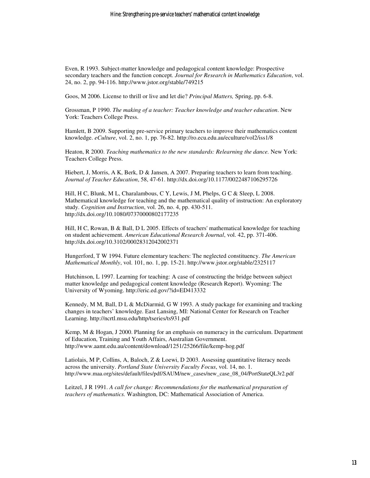Even, R 1993. Subject-matter knowledge and pedagogical content knowledge: Prospective secondary teachers and the function concept. *Journal for Research in Mathematics Education*, vol. 24, no. 2, pp. 94-116. http://www.jstor.org/stable/749215

Goos, M 2006. License to thrill or live and let die? *Principal Matters,* Spring, pp. 6-8.

Grossman, P 1990. *The making of a teacher: Teacher knowledge and teacher education*. New York: Teachers College Press.

Hamlett, B 2009. Supporting pre-service primary teachers to improve their mathematics content knowledge. *eCulture*, vol. 2, no. 1, pp. 76-82. http://ro.ecu.edu.au/eculture/vol2/iss1/8

Heaton, R 2000. *Teaching mathematics to the new standards: Relearning the dance.* New York: Teachers College Press.

Hiebert, J, Morris, A K, Berk, D & Jansen, A 2007. Preparing teachers to learn from teaching. *Journal of Teacher Education*, 58, 47-61. http://dx.doi.org/10.1177/0022487106295726

Hill, H C, Blunk, M L, Charalambous, C Y, Lewis, J M, Phelps, G C & Sleep, L 2008. Mathematical knowledge for teaching and the mathematical quality of instruction: An exploratory study. *Cognition and Instruction*, vol. 26, no. 4, pp. 430-511. http://dx.doi.org/10.1080/07370000802177235

Hill, H C, Rowan, B & Ball, D L 2005. Effects of teachers' mathematical knowledge for teaching on student achievement. *American Educational Research Journal*, vol. 42, pp. 371-406. http://dx.doi.org/10.3102/00028312042002371

Hungerford, T W 1994. Future elementary teachers: The neglected constituency. *The American Mathematical Monthly*, vol. 101, no. 1, pp. 15-21. http://www.jstor.org/stable/2325117

Hutchinson, L 1997. Learning for teaching: A case of constructing the bridge between subject matter knowledge and pedagogical content knowledge (Research Report). Wyoming: The University of Wyoming. http://eric.ed.gov/?id=ED413332

Kennedy, M M, Ball, D L & McDiarmid, G W 1993. A study package for examining and tracking changes in teachers' knowledge. East Lansing, MI: National Center for Research on Teacher Learning. http://ncrtl.msu.edu/http/tseries/ts931.pdf

Kemp, M & Hogan, J 2000. Planning for an emphasis on numeracy in the curriculum. Department of Education, Training and Youth Affairs, Australian Government. http://www.aamt.edu.au/content/download/1251/25266/file/kemp-hog.pdf

Latiolais, M P, Collins, A, Baloch, Z & Loewi, D 2003. Assessing quantitative literacy needs across the university. *Portland State University Faculty Focus*, vol. 14, no. 1. http://www.maa.org/sites/default/files/pdf/SAUM/new\_cases/new\_case\_08\_04/PortStateQL3r2.pdf

Leitzel, J R 1991. *A call for change: Recommendations for the mathematical preparation of teachers of mathematics.* Washington, DC: Mathematical Association of America.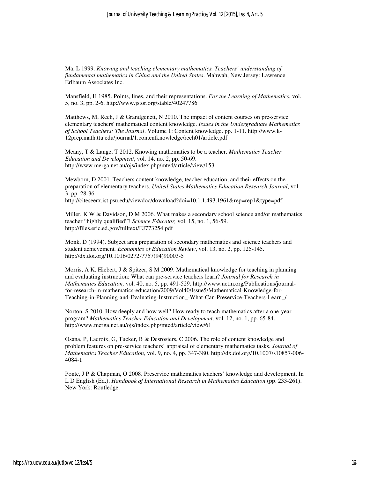Ma, L 1999. *Knowing and teaching elementary mathematics. Teachers' understanding of fundamental mathematics in China and the United States*. Mahwah, New Jersey: Lawrence Erlbaum Associates Inc.

Mansfield, H 1985. Points, lines, and their representations. *For the Learning of Mathematics*, vol. 5, no. 3, pp. 2-6. http://www.jstor.org/stable/40247786

Matthews, M, Rech, J & Grandgenett, N 2010. The impact of content courses on pre-service elementary teachers' mathematical content knowledge. *Issues in the Undergraduate Mathematics of School Teachers: The Journal*. Volume 1: Content knowledge. pp. 1-11. http://www.k-12prep.math.ttu.edu/journal/1.contentknowledge/rech01/article.pdf

Meany, T & Lange, T 2012. Knowing mathematics to be a teacher. *Mathematics Teacher Education and Development*, vol. 14, no. 2, pp. 50-69. http://www.merga.net.au/ojs/index.php/mted/article/view/153

Mewborn, D 2001. Teachers content knowledge, teacher education, and their effects on the preparation of elementary teachers. *United States Mathematics Education Research Journal*, vol. 3, pp. 28-36.

http://citeseerx.ist.psu.edu/viewdoc/download?doi=10.1.1.493.1961&rep=rep1&type=pdf

Miller, K W & Davidson, D M 2006. What makes a secondary school science and/or mathematics teacher "highly qualified"? *Science Educator,* vol. 15, no. 1, 56-59. http://files.eric.ed.gov/fulltext/EJ773254.pdf

Monk, D (1994). Subject area preparation of secondary mathematics and science teachers and student achievement*. Economics of Education Review*, vol. 13, no. 2, pp. 125-145. http://dx.doi.org/10.1016/0272-7757(94)90003-5

Morris, A K, Hiebert, J & Spitzer, S M 2009. Mathematical knowledge for teaching in planning and evaluating instruction: What can pre-service teachers learn? *Journal for Research in Mathematics Education,* vol. 40, no. 5, pp. 491-529. http://www.nctm.org/Publications/journalfor-research-in-mathematics-education/2009/Vol40/Issue5/Mathematical-Knowledge-for-Teaching-in-Planning-and-Evaluating-Instruction\_-What-Can-Preservice-Teachers-Learn\_/

Norton, S 2010. How deeply and how well? How ready to teach mathematics after a one-year program? *Mathematics Teacher Education and Development,* vol. 12, no. 1, pp. 65-84. http://www.merga.net.au/ojs/index.php/mted/article/view/61

Osana, P, Lacroix, G, Tucker, B & Desrosiers, C 2006. The role of content knowledge and problem features on pre-service teachers' appraisal of elementary mathematics tasks. *Journal of Mathematics Teacher Education,* vol. 9, no. 4, pp. 347-380. http://dx.doi.org/10.1007/s10857-006- 4084-1

Ponte, J P & Chapman, O 2008. Preservice mathematics teachers' knowledge and development. In L D English (Ed.), *Handbook of International Research in Mathematics Education* (pp. 233-261). New York: Routledge.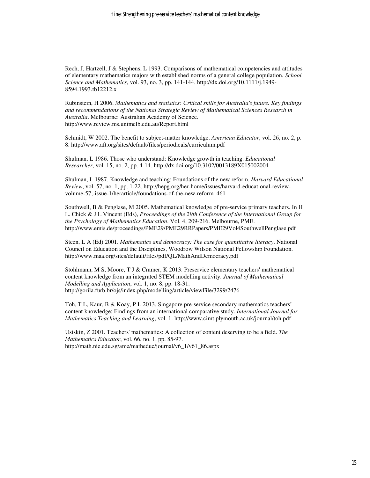Rech, J, Hartzell, J & Stephens, L 1993. Comparisons of mathematical competencies and attitudes of elementary mathematics majors with established norms of a general college population. *School Science and Mathematics*, vol. 93, no. 3, pp. 141-144. http://dx.doi.org/10.1111/j.1949- 8594.1993.tb12212.x

Rubinstein, H 2006. *Mathematics and statistics: Critical skills for Australia's future. Key findings and recommendations of the National Strategic Review of Mathematical Sciences Research in Australia*. Melbourne: Australian Academy of Science. http://www.review.ms.unimelb.edu.au/Report.html

Schmidt, W 2002. The benefit to subject-matter knowledge. *American Educator*, vol. 26, no. 2, p. 8. http://www.aft.org/sites/default/files/periodicals/curriculum.pdf

Shulman, L 1986. Those who understand: Knowledge growth in teaching. *Educational Researcher*, vol. 15, no. 2, pp. 4-14. http://dx.doi.org/10.3102/0013189X015002004

Shulman, L 1987. Knowledge and teaching: Foundations of the new reform. *Harvard Educational Review*, vol. 57, no. 1, pp. 1-22. http://hepg.org/her-home/issues/harvard-educational-reviewvolume-57,-issue-1/herarticle/foundations-of-the-new-reform\_461

Southwell, B & Penglase, M 2005. Mathematical knowledge of pre-service primary teachers. In H L. Chick & J L Vincent (Eds), *Proceedings of the 29th Conference of the International Group for the Psychology of Mathematics Education*. Vol. 4, 209-216. Melbourne, PME. http://www.emis.de/proceedings/PME29/PME29RRPapers/PME29Vol4SouthwellPenglase.pdf

Steen, L A (Ed) 2001. *Mathematics and democracy: The case for quantitative literacy*. National Council on Education and the Disciplines, Woodrow Wilson National Fellowship Foundation. http://www.maa.org/sites/default/files/pdf/QL/MathAndDemocracy.pdf

Stohlmann, M S, Moore, T J & Cramer, K 2013. Preservice elementary teachers' mathematical content knowledge from an integrated STEM modelling activity. *Journal of Mathematical Modelling and Application*, vol. 1, no. 8, pp. 18-31. http://gorila.furb.br/ojs/index.php/modelling/article/viewFile/3299/2476

Toh, T L, Kaur, B & Koay, P L 2013. Singapore pre-service secondary mathematics teachers' content knowledge: Findings from an international comparative study. *International Journal for Mathematics Teaching and Learning*, vol. 1. http://www.cimt.plymouth.ac.uk/journal/toh.pdf

Usiskin, Z 2001. Teachers' mathematics: A collection of content deserving to be a field. *The Mathematics Educator*, vol. 66, no. 1, pp. 85-97. http://math.nie.edu.sg/ame/matheduc/journal/v6\_1/v61\_86.aspx